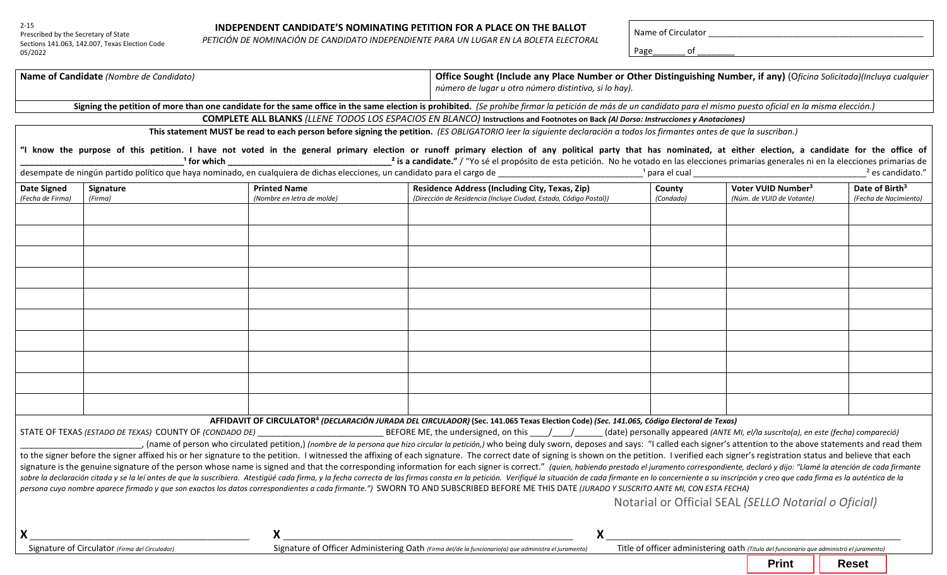# Prescribed by the Secretary of State

Sections 141.063, 142.007, Texas Election Code 05/2022

2-15

#### **INDEPENDENT CANDIDATE'S NOMINATING PETITION FOR A PLACE ON THE BALLOT**

**PETICIÓN DE NOMINACIÓN DE CANDIDATE S NOMINATING PETITION FOR A PLACE ON THE BALLOT**<br>PETICIÓN DE NOMINACIÓN DE CANDIDATO INDEPENDIENTE PARA UN LUGAR EN LA BOLETA ELECTORAL

| Page\_\_\_\_\_\_\_\_\_ of \_

| Name of Candidate (Nombre de Candidato)                                                                                                               |                                                         |                                                                                                                      |                                                                                                                                                                                                                                | Office Sought (Include any Place Number or Other Distinguishing Number, if any) (Oficina Solicitada)(Incluya cualquier<br>número de lugar u otro número distintivo, si lo hay). |                                                                                                                            |                             |  |
|-------------------------------------------------------------------------------------------------------------------------------------------------------|---------------------------------------------------------|----------------------------------------------------------------------------------------------------------------------|--------------------------------------------------------------------------------------------------------------------------------------------------------------------------------------------------------------------------------|---------------------------------------------------------------------------------------------------------------------------------------------------------------------------------|----------------------------------------------------------------------------------------------------------------------------|-----------------------------|--|
|                                                                                                                                                       |                                                         |                                                                                                                      | Signing the petition of more than one candidate for the same office in the same election is prohibited. (Se prohibe firmar la petición de más de un candidato para el mismo puesto oficial en la misma elección.)              |                                                                                                                                                                                 |                                                                                                                            |                             |  |
|                                                                                                                                                       |                                                         |                                                                                                                      | <b>COMPLETE ALL BLANKS</b> (LLENE TODOS LOS ESPACIOS EN BLANCO) Instructions and Footnotes on Back (Al Dorso: Instrucciones y Anotaciones)                                                                                     |                                                                                                                                                                                 |                                                                                                                            |                             |  |
|                                                                                                                                                       |                                                         |                                                                                                                      | This statement MUST be read to each person before signing the petition. (ES OBLIGATORIO leer la siguiente declaración a todos los firmantes antes de que la suscriban.)                                                        |                                                                                                                                                                                 |                                                                                                                            |                             |  |
|                                                                                                                                                       |                                                         |                                                                                                                      | "I know the purpose of this petition. I have not voted in the general primary election or runoff primary election of any political party that has nominated, at either election, a candidate for the office of                 |                                                                                                                                                                                 | <sup>1</sup> para el cual el mando de la contrada de la contrada de la contrada de la contrada de la contrada de la contra | <sup>2</sup> es candidato." |  |
| <b>Date Signed</b>                                                                                                                                    | Signature                                               | <b>Printed Name</b>                                                                                                  | <b>Residence Address (Including City, Texas, Zip)</b>                                                                                                                                                                          | County                                                                                                                                                                          | Voter VUID Number <sup>3</sup>                                                                                             | Date of Birth <sup>3</sup>  |  |
| (Fecha de Firma)                                                                                                                                      | (Firma)                                                 | (Nombre en letra de molde)                                                                                           | (Dirección de Residencia (Incluye Ciudad, Estado, Código Postal))                                                                                                                                                              | (Condado)                                                                                                                                                                       | (Núm. de VUID de Votante)                                                                                                  | (Fecha de Nacimiento)       |  |
|                                                                                                                                                       |                                                         |                                                                                                                      |                                                                                                                                                                                                                                |                                                                                                                                                                                 |                                                                                                                            |                             |  |
|                                                                                                                                                       |                                                         |                                                                                                                      |                                                                                                                                                                                                                                |                                                                                                                                                                                 |                                                                                                                            |                             |  |
|                                                                                                                                                       |                                                         |                                                                                                                      |                                                                                                                                                                                                                                |                                                                                                                                                                                 |                                                                                                                            |                             |  |
|                                                                                                                                                       |                                                         |                                                                                                                      |                                                                                                                                                                                                                                |                                                                                                                                                                                 |                                                                                                                            |                             |  |
|                                                                                                                                                       |                                                         |                                                                                                                      |                                                                                                                                                                                                                                |                                                                                                                                                                                 |                                                                                                                            |                             |  |
|                                                                                                                                                       |                                                         |                                                                                                                      |                                                                                                                                                                                                                                |                                                                                                                                                                                 |                                                                                                                            |                             |  |
|                                                                                                                                                       |                                                         |                                                                                                                      |                                                                                                                                                                                                                                |                                                                                                                                                                                 |                                                                                                                            |                             |  |
|                                                                                                                                                       |                                                         |                                                                                                                      |                                                                                                                                                                                                                                |                                                                                                                                                                                 |                                                                                                                            |                             |  |
|                                                                                                                                                       |                                                         |                                                                                                                      |                                                                                                                                                                                                                                |                                                                                                                                                                                 |                                                                                                                            |                             |  |
|                                                                                                                                                       |                                                         |                                                                                                                      |                                                                                                                                                                                                                                |                                                                                                                                                                                 |                                                                                                                            |                             |  |
|                                                                                                                                                       |                                                         |                                                                                                                      |                                                                                                                                                                                                                                |                                                                                                                                                                                 |                                                                                                                            |                             |  |
|                                                                                                                                                       |                                                         |                                                                                                                      |                                                                                                                                                                                                                                |                                                                                                                                                                                 |                                                                                                                            |                             |  |
|                                                                                                                                                       |                                                         |                                                                                                                      |                                                                                                                                                                                                                                |                                                                                                                                                                                 |                                                                                                                            |                             |  |
|                                                                                                                                                       |                                                         |                                                                                                                      |                                                                                                                                                                                                                                |                                                                                                                                                                                 |                                                                                                                            |                             |  |
|                                                                                                                                                       |                                                         |                                                                                                                      |                                                                                                                                                                                                                                |                                                                                                                                                                                 |                                                                                                                            |                             |  |
|                                                                                                                                                       |                                                         |                                                                                                                      |                                                                                                                                                                                                                                |                                                                                                                                                                                 |                                                                                                                            |                             |  |
| AFFIDAVIT OF CIRCULATOR <sup>4</sup> (DECLARACIÓN JURADA DEL CIRCULADOR) (Sec. 141.065 Texas Election Code) (Sec. 141.065, Código Electoral de Texas) |                                                         |                                                                                                                      |                                                                                                                                                                                                                                |                                                                                                                                                                                 |                                                                                                                            |                             |  |
|                                                                                                                                                       | STATE OF TEXAS (ESTADO DE TEXAS) COUNTY OF (CONDADO DE) | <u> 1980 - Jan Stein Stein Stein Stein Stein Stein Stein Stein Stein Stein Stein Stein Stein Stein Stein Stein S</u> | BEFORE ME, the undersigned, on this ____/____/______(date) personally appeared (ANTE MI, el/la suscrito(a), en este (fecha) compareció)                                                                                        |                                                                                                                                                                                 |                                                                                                                            |                             |  |
|                                                                                                                                                       |                                                         |                                                                                                                      | , (name of person who circulated petition,) (nombre de la persona que hizo circular la petición,) who being duly sworn, deposes and says: "I called each signer's attention to the above statements and read them              |                                                                                                                                                                                 |                                                                                                                            |                             |  |
|                                                                                                                                                       |                                                         |                                                                                                                      | to the signer before the signer affixed his or her signature to the petition. I witnessed the affixing of each signature. The correct date of signing is shown on the petition. I verified each signer's registration status a |                                                                                                                                                                                 |                                                                                                                            |                             |  |
|                                                                                                                                                       |                                                         |                                                                                                                      | signature is the genuine signature of the person whose name is signed and that the corresponding information for each signer is correct." (quien, habiendo prestado el juramento correspondiente, declaró y dijo: "Llamé la at |                                                                                                                                                                                 |                                                                                                                            |                             |  |
|                                                                                                                                                       |                                                         |                                                                                                                      | sobre la declaración citada y se la leí antes de que la suscribiera. Atestigüé cada firma, y la fecha correcta de las firmas consta en la petición. Verifiqué la situación de cada firmante en lo concerniente a su inscripció |                                                                                                                                                                                 |                                                                                                                            |                             |  |
|                                                                                                                                                       |                                                         |                                                                                                                      | persona cuyo nombre aparece firmado y que son exactos los datos correspondientes a cada firmante.") SWORN TO AND SUBSCRIBED BEFORE ME THIS DATE (JURADO Y SUSCRITO ANTE MI, CON ESTA FECHA)                                    |                                                                                                                                                                                 |                                                                                                                            |                             |  |
|                                                                                                                                                       |                                                         |                                                                                                                      |                                                                                                                                                                                                                                |                                                                                                                                                                                 | Notarial or Official SEAL (SELLO Notarial o Oficial)                                                                       |                             |  |
|                                                                                                                                                       |                                                         |                                                                                                                      |                                                                                                                                                                                                                                |                                                                                                                                                                                 |                                                                                                                            |                             |  |
|                                                                                                                                                       |                                                         |                                                                                                                      | Χ                                                                                                                                                                                                                              |                                                                                                                                                                                 |                                                                                                                            |                             |  |
| Signature of Circulator (Firma del Circulador)                                                                                                        |                                                         |                                                                                                                      | Title of officer administering oath (Titulo del funcionario que administró el juramento)<br>Signature of Officer Administering Oath (Firma del/de la funcionario(a) que administra el juramento)                               |                                                                                                                                                                                 |                                                                                                                            |                             |  |
|                                                                                                                                                       |                                                         |                                                                                                                      |                                                                                                                                                                                                                                |                                                                                                                                                                                 | <b>Print</b>                                                                                                               | <b>Reset</b>                |  |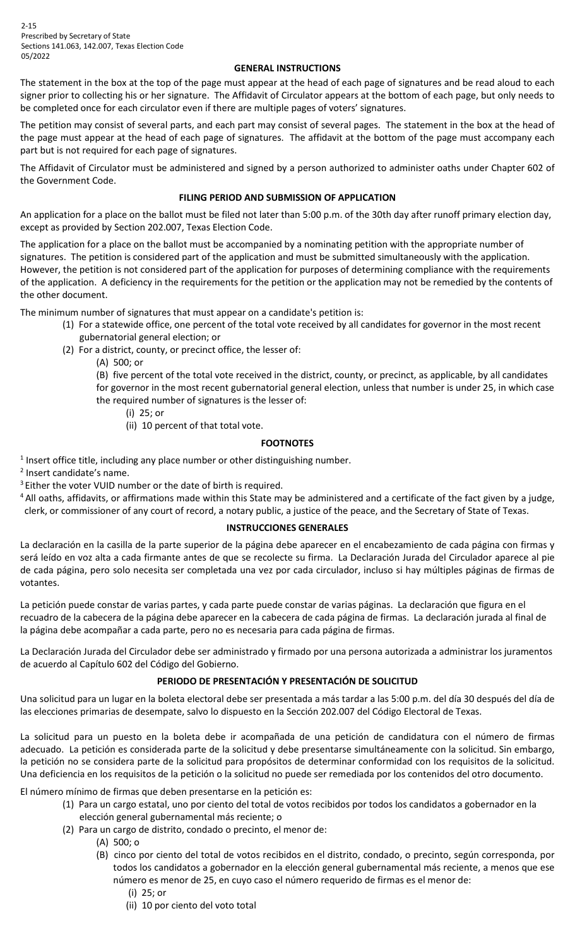2-15 Prescribed by Secretary of State Sections 141.063, 142.007, Texas Election Code 05/2022

### **GENERAL INSTRUCTIONS**

The statement in the box at the top of the page must appear at the head of each page of signatures and be read aloud to each signer prior to collecting his or her signature. The Affidavit of Circulator appears at the bottom of each page, but only needs to be completed once for each circulator even if there are multiple pages of voters' signatures.

The petition may consist of several parts, and each part may consist of several pages. The statement in the box at the head of the page must appear at the head of each page of signatures. The affidavit at the bottom of the page must accompany each part but is not required for each page of signatures.

The Affidavit of Circulator must be administered and signed by a person authorized to administer oaths under Chapter 602 of the Government Code.

### **FILING PERIOD AND SUBMISSION OF APPLICATION**

An application for a place on the ballot must be filed not later than 5:00 p.m. of the 30th day after runoff primary election day, except as provided by Section 202.007, Texas Election Code.

The application for a place on the ballot must be accompanied by a nominating petition with the appropriate number of signatures. The petition is considered part of the application and must be submitted simultaneously with the application. However, the petition is not considered part of the application for purposes of determining compliance with the requirements of the application. A deficiency in the requirements for the petition or the application may not be remedied by the contents of the other document.

The minimum number of signatures that must appear on a candidate's petition is:

- (1) For a statewide office, one percent of the total vote received by all candidates for governor in the most recent gubernatorial general election; or
- (2) For a district, county, or precinct office, the lesser of:
	- (A) 500; or
	- (B) five percent of the total vote received in the district, county, or precinct, as applicable, by all candidates
	- for governor in the most recent gubernatorial general election, unless that number is under 25, in which case the required number of signatures is the lesser of:
		- (i) 25; or
		- (ii) 10 percent of that total vote.

#### **FOOTNOTES**

 $1$  Insert office title, including any place number or other distinguishing number.

<sup>2</sup> Insert candidate's name.

- <sup>3</sup> Either the voter VUID number or the date of birth is required.
- <sup>4</sup> All oaths, affidavits, or affirmations made within this State may be administered and a certificate of the fact given by a judge, clerk, or commissioner of any court of record, a notary public, a justice of the peace, and the Secretary of State of Texas.

#### **INSTRUCCIONES GENERALES**

La declaración en la casilla de la parte superior de la página debe aparecer en el encabezamiento de cada página con firmas y será leído en voz alta a cada firmante antes de que se recolecte su firma. La Declaración Jurada del Circulador aparece al pie de cada página, pero solo necesita ser completada una vez por cada circulador, incluso si hay múltiples páginas de firmas de votantes.

La petición puede constar de varias partes, y cada parte puede constar de varias páginas. La declaración que figura en el recuadro de la cabecera de la página debe aparecer en la cabecera de cada página de firmas. La declaración jurada al final de la página debe acompañar a cada parte, pero no es necesaria para cada página de firmas.

La Declaración Jurada del Circulador debe ser administrado y firmado por una persona autorizada a administrar los juramentos de acuerdo al Capítulo 602 del Código del Gobierno.

## **PERIODO DE PRESENTACIÓN Y PRESENTACIÓN DE SOLICITUD**

Una solicitud para un lugar en la boleta electoral debe ser presentada a más tardar a las 5:00 p.m. del día 30 después del día de las elecciones primarias de desempate, salvo lo dispuesto en la Sección 202.007 del Código Electoral de Texas.

La solicitud para un puesto en la boleta debe ir acompañada de una petición de candidatura con el número de firmas adecuado. La petición es considerada parte de la solicitud y debe presentarse simultáneamente con la solicitud. Sin embargo, la petición no se considera parte de la solicitud para propósitos de determinar conformidad con los requisitos de la solicitud. Una deficiencia en los requisitos de la petición o la solicitud no puede ser remediada por los contenidos del otro documento.

El número mínimo de firmas que deben presentarse en la petición es:

- (1) Para un cargo estatal, uno por ciento del total de votos recibidos por todos los candidatos a gobernador en la elección general gubernamental más reciente; o
- (2) Para un cargo de distrito, condado o precinto, el menor de:
	- (A) 500; o
		- (B) cinco por ciento del total de votos recibidos en el distrito, condado, o precinto, según corresponda, por todos los candidatos a gobernador en la elección general gubernamental más reciente, a menos que ese número es menor de 25, en cuyo caso el número requerido de firmas es el menor de: (i) 25; or
			- (ii) 10 por ciento del voto total